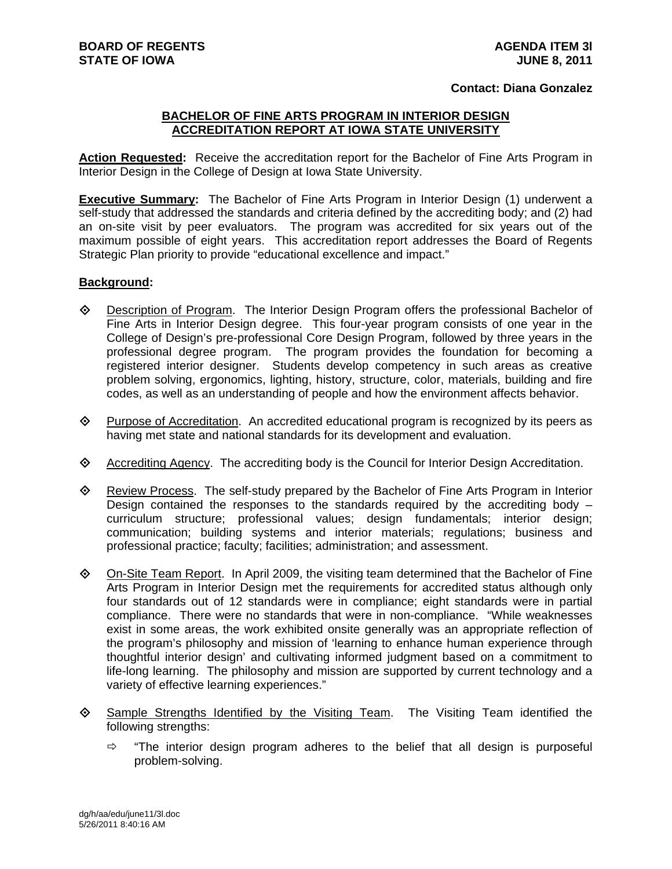## **Contact: Diana Gonzalez**

## **BACHELOR OF FINE ARTS PROGRAM IN INTERIOR DESIGN ACCREDITATION REPORT AT IOWA STATE UNIVERSITY**

**Action Requested:** Receive the accreditation report for the Bachelor of Fine Arts Program in Interior Design in the College of Design at Iowa State University.

**Executive Summary:** The Bachelor of Fine Arts Program in Interior Design (1) underwent a self-study that addressed the standards and criteria defined by the accrediting body; and (2) had an on-site visit by peer evaluators. The program was accredited for six years out of the maximum possible of eight years. This accreditation report addresses the Board of Regents Strategic Plan priority to provide "educational excellence and impact."

## **Background:**

- Description of Program. The Interior Design Program offers the professional Bachelor of Fine Arts in Interior Design degree. This four-year program consists of one year in the College of Design's pre-professional Core Design Program, followed by three years in the professional degree program. The program provides the foundation for becoming a registered interior designer. Students develop competency in such areas as creative problem solving, ergonomics, lighting, history, structure, color, materials, building and fire codes, as well as an understanding of people and how the environment affects behavior.
- $\Diamond$  Purpose of Accreditation. An accredited educational program is recognized by its peers as having met state and national standards for its development and evaluation.
- Accrediting Agency. The accrediting body is the Council for Interior Design Accreditation.
- Review Process. The self-study prepared by the Bachelor of Fine Arts Program in Interior Design contained the responses to the standards required by the accrediting body  $$ curriculum structure; professional values; design fundamentals; interior design; communication; building systems and interior materials; regulations; business and professional practice; faculty; facilities; administration; and assessment.
- On-Site Team Report. In April 2009, the visiting team determined that the Bachelor of Fine Arts Program in Interior Design met the requirements for accredited status although only four standards out of 12 standards were in compliance; eight standards were in partial compliance. There were no standards that were in non-compliance. "While weaknesses exist in some areas, the work exhibited onsite generally was an appropriate reflection of the program's philosophy and mission of 'learning to enhance human experience through thoughtful interior design' and cultivating informed judgment based on a commitment to life-long learning. The philosophy and mission are supported by current technology and a variety of effective learning experiences."
- $\diamond$  Sample Strengths Identified by the Visiting Team. The Visiting Team identified the following strengths:
	- $\Rightarrow$  "The interior design program adheres to the belief that all design is purposeful problem-solving.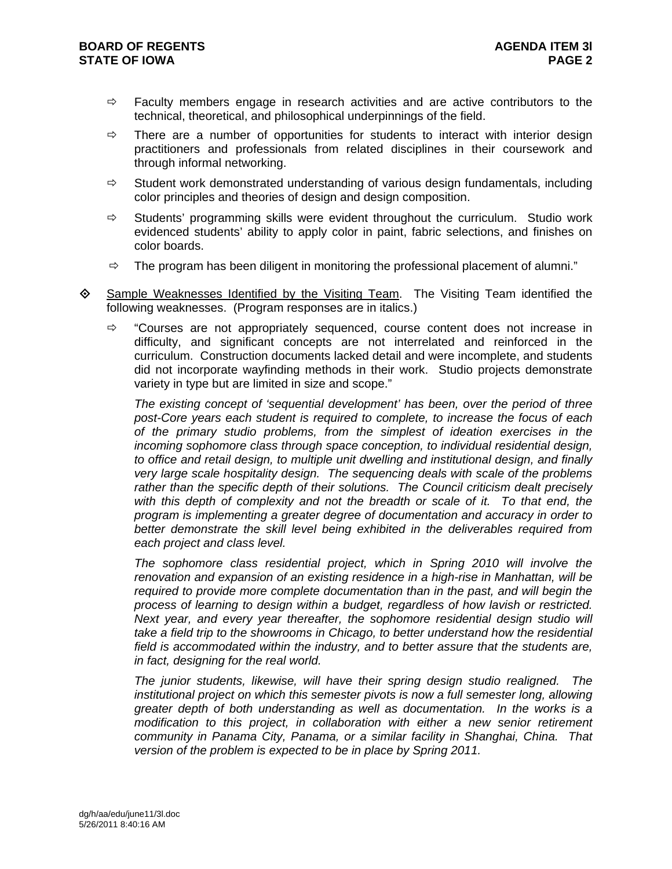- $\Rightarrow$  Faculty members engage in research activities and are active contributors to the technical, theoretical, and philosophical underpinnings of the field.
- $\Rightarrow$  There are a number of opportunities for students to interact with interior design practitioners and professionals from related disciplines in their coursework and through informal networking.
- $\Rightarrow$  Student work demonstrated understanding of various design fundamentals, including color principles and theories of design and design composition.
- $\Rightarrow$  Students' programming skills were evident throughout the curriculum. Studio work evidenced students' ability to apply color in paint, fabric selections, and finishes on color boards.
- $\Rightarrow$  The program has been diligent in monitoring the professional placement of alumni."
- $\diamond$  Sample Weaknesses Identified by the Visiting Team. The Visiting Team identified the following weaknesses. (Program responses are in italics.)
	- $\Rightarrow$  "Courses are not appropriately sequenced, course content does not increase in difficulty, and significant concepts are not interrelated and reinforced in the curriculum. Construction documents lacked detail and were incomplete, and students did not incorporate wayfinding methods in their work. Studio projects demonstrate variety in type but are limited in size and scope."

*The existing concept of 'sequential development' has been, over the period of three post-Core years each student is required to complete, to increase the focus of each of the primary studio problems, from the simplest of ideation exercises in the incoming sophomore class through space conception, to individual residential design, to office and retail design, to multiple unit dwelling and institutional design, and finally very large scale hospitality design. The sequencing deals with scale of the problems rather than the specific depth of their solutions. The Council criticism dealt precisely with this depth of complexity and not the breadth or scale of it. To that end, the program is implementing a greater degree of documentation and accuracy in order to better demonstrate the skill level being exhibited in the deliverables required from each project and class level.* 

*The sophomore class residential project, which in Spring 2010 will involve the renovation and expansion of an existing residence in a high-rise in Manhattan, will be required to provide more complete documentation than in the past, and will begin the process of learning to design within a budget, regardless of how lavish or restricted. Next year, and every year thereafter, the sophomore residential design studio will take a field trip to the showrooms in Chicago, to better understand how the residential field is accommodated within the industry, and to better assure that the students are, in fact, designing for the real world.* 

*The junior students, likewise, will have their spring design studio realigned. The institutional project on which this semester pivots is now a full semester long, allowing greater depth of both understanding as well as documentation. In the works is a modification to this project, in collaboration with either a new senior retirement community in Panama City, Panama, or a similar facility in Shanghai, China. That version of the problem is expected to be in place by Spring 2011.*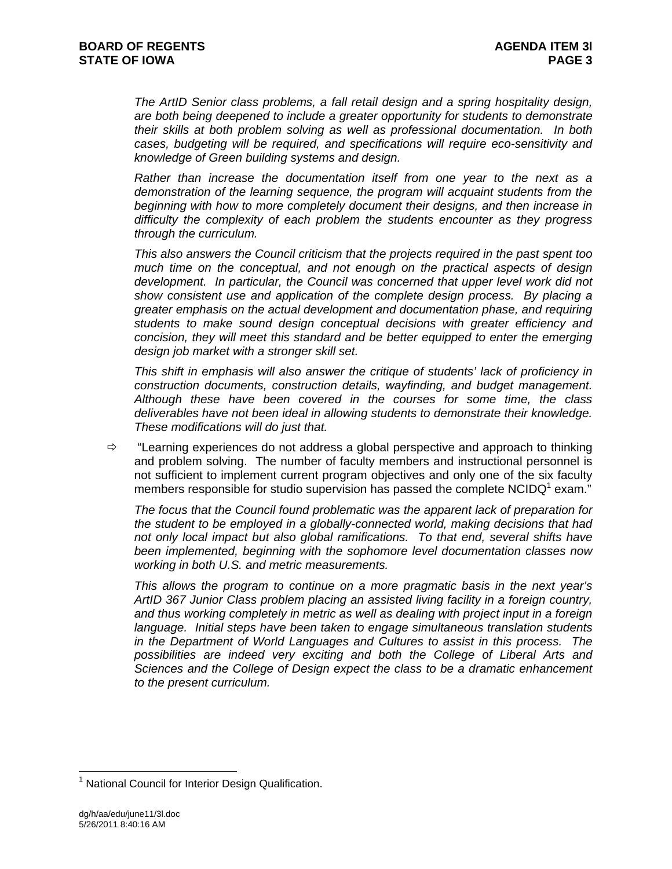*The ArtID Senior class problems, a fall retail design and a spring hospitality design, are both being deepened to include a greater opportunity for students to demonstrate their skills at both problem solving as well as professional documentation. In both cases, budgeting will be required, and specifications will require eco-sensitivity and knowledge of Green building systems and design.* 

*Rather than increase the documentation itself from one year to the next as a demonstration of the learning sequence, the program will acquaint students from the beginning with how to more completely document their designs, and then increase in difficulty the complexity of each problem the students encounter as they progress through the curriculum.* 

*This also answers the Council criticism that the projects required in the past spent too much time on the conceptual, and not enough on the practical aspects of design development. In particular, the Council was concerned that upper level work did not show consistent use and application of the complete design process. By placing a greater emphasis on the actual development and documentation phase, and requiring students to make sound design conceptual decisions with greater efficiency and concision, they will meet this standard and be better equipped to enter the emerging design job market with a stronger skill set.* 

*This shift in emphasis will also answer the critique of students' lack of proficiency in construction documents, construction details, wayfinding, and budget management. Although these have been covered in the courses for some time, the class deliverables have not been ideal in allowing students to demonstrate their knowledge. These modifications will do just that.* 

 $\Rightarrow$  "Learning experiences do not address a global perspective and approach to thinking and problem solving. The number of faculty members and instructional personnel is not sufficient to implement current program objectives and only one of the six faculty members responsible for studio supervision has passed the complete NCIDQ<sup>1</sup> exam."

*The focus that the Council found problematic was the apparent lack of preparation for the student to be employed in a globally-connected world, making decisions that had not only local impact but also global ramifications. To that end, several shifts have been implemented, beginning with the sophomore level documentation classes now working in both U.S. and metric measurements.* 

*This allows the program to continue on a more pragmatic basis in the next year's ArtID 367 Junior Class problem placing an assisted living facility in a foreign country, and thus working completely in metric as well as dealing with project input in a foreign language. Initial steps have been taken to engage simultaneous translation students in the Department of World Languages and Cultures to assist in this process. The possibilities are indeed very exciting and both the College of Liberal Arts and Sciences and the College of Design expect the class to be a dramatic enhancement to the present curriculum.* 

 $\overline{a}$ 

<sup>&</sup>lt;sup>1</sup> National Council for Interior Design Qualification.